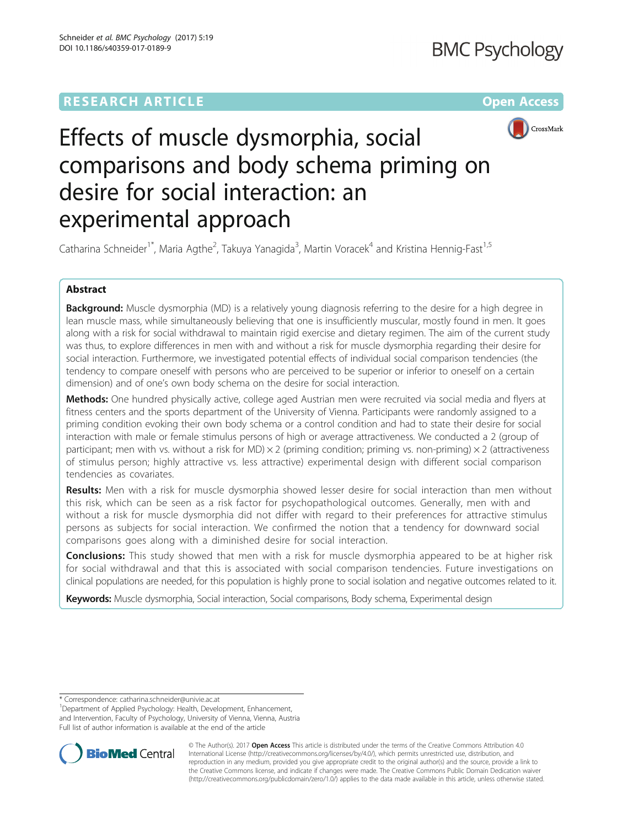## **RESEARCH ARTICLE Example 2014 12:30 The Contract of Contract Article 2014**



# Effects of muscle dysmorphia, social comparisons and body schema priming on desire for social interaction: an experimental approach

Catharina Schneider<sup>1\*</sup>, Maria Agthe<sup>2</sup>, Takuya Yanagida<sup>3</sup>, Martin Voracek<sup>4</sup> and Kristina Hennig-Fast<sup>1,5</sup>

## Abstract

**Background:** Muscle dysmorphia (MD) is a relatively young diagnosis referring to the desire for a high degree in lean muscle mass, while simultaneously believing that one is insufficiently muscular, mostly found in men. It goes along with a risk for social withdrawal to maintain rigid exercise and dietary regimen. The aim of the current study was thus, to explore differences in men with and without a risk for muscle dysmorphia regarding their desire for social interaction. Furthermore, we investigated potential effects of individual social comparison tendencies (the tendency to compare oneself with persons who are perceived to be superior or inferior to oneself on a certain dimension) and of one's own body schema on the desire for social interaction.

Methods: One hundred physically active, college aged Austrian men were recruited via social media and flyers at fitness centers and the sports department of the University of Vienna. Participants were randomly assigned to a priming condition evoking their own body schema or a control condition and had to state their desire for social interaction with male or female stimulus persons of high or average attractiveness. We conducted a 2 (group of participant; men with vs. without a risk for MD)  $\times$  2 (priming condition; priming vs. non-priming)  $\times$  2 (attractiveness of stimulus person; highly attractive vs. less attractive) experimental design with different social comparison tendencies as covariates.

Results: Men with a risk for muscle dysmorphia showed lesser desire for social interaction than men without this risk, which can be seen as a risk factor for psychopathological outcomes. Generally, men with and without a risk for muscle dysmorphia did not differ with regard to their preferences for attractive stimulus persons as subjects for social interaction. We confirmed the notion that a tendency for downward social comparisons goes along with a diminished desire for social interaction.

**Conclusions:** This study showed that men with a risk for muscle dysmorphia appeared to be at higher risk for social withdrawal and that this is associated with social comparison tendencies. Future investigations on clinical populations are needed, for this population is highly prone to social isolation and negative outcomes related to it.

Keywords: Muscle dysmorphia, Social interaction, Social comparisons, Body schema, Experimental design

Department of Applied Psychology: Health, Development, Enhancement, and Intervention, Faculty of Psychology, University of Vienna, Vienna, Austria Full list of author information is available at the end of the article



© The Author(s). 2017 **Open Access** This article is distributed under the terms of the Creative Commons Attribution 4.0 International License [\(http://creativecommons.org/licenses/by/4.0/](http://creativecommons.org/licenses/by/4.0/)), which permits unrestricted use, distribution, and reproduction in any medium, provided you give appropriate credit to the original author(s) and the source, provide a link to the Creative Commons license, and indicate if changes were made. The Creative Commons Public Domain Dedication waiver [\(http://creativecommons.org/publicdomain/zero/1.0/](http://creativecommons.org/publicdomain/zero/1.0/)) applies to the data made available in this article, unless otherwise stated.

<sup>\*</sup> Correspondence: [catharina.schneider@univie.ac.at](mailto:catharina.schneider@univie.ac.at) <sup>1</sup>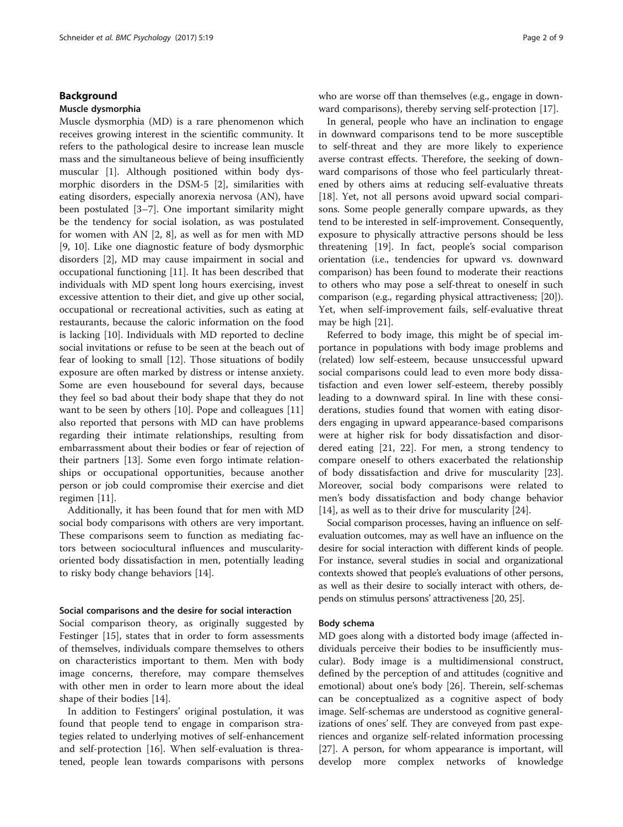## Background

## Muscle dysmorphia

Muscle dysmorphia (MD) is a rare phenomenon which receives growing interest in the scientific community. It refers to the pathological desire to increase lean muscle mass and the simultaneous believe of being insufficiently muscular [\[1\]](#page-8-0). Although positioned within body dysmorphic disorders in the DSM-5 [[2\]](#page-8-0), similarities with eating disorders, especially anorexia nervosa (AN), have been postulated [[3](#page-8-0)–[7](#page-8-0)]. One important similarity might be the tendency for social isolation, as was postulated for women with AN [\[2, 8\]](#page-8-0), as well as for men with MD [[9, 10\]](#page-8-0). Like one diagnostic feature of body dysmorphic disorders [[2](#page-8-0)], MD may cause impairment in social and occupational functioning [\[11](#page-8-0)]. It has been described that individuals with MD spent long hours exercising, invest excessive attention to their diet, and give up other social, occupational or recreational activities, such as eating at restaurants, because the caloric information on the food is lacking [\[10](#page-8-0)]. Individuals with MD reported to decline social invitations or refuse to be seen at the beach out of fear of looking to small [\[12](#page-8-0)]. Those situations of bodily exposure are often marked by distress or intense anxiety. Some are even housebound for several days, because they feel so bad about their body shape that they do not want to be seen by others [[10](#page-8-0)]. Pope and colleagues [[11](#page-8-0)] also reported that persons with MD can have problems regarding their intimate relationships, resulting from embarrassment about their bodies or fear of rejection of their partners [[13](#page-8-0)]. Some even forgo intimate relationships or occupational opportunities, because another person or job could compromise their exercise and diet regimen [\[11\]](#page-8-0).

Additionally, it has been found that for men with MD social body comparisons with others are very important. These comparisons seem to function as mediating factors between sociocultural influences and muscularityoriented body dissatisfaction in men, potentially leading to risky body change behaviors [\[14](#page-8-0)].

#### Social comparisons and the desire for social interaction

Social comparison theory, as originally suggested by Festinger [\[15\]](#page-8-0), states that in order to form assessments of themselves, individuals compare themselves to others on characteristics important to them. Men with body image concerns, therefore, may compare themselves with other men in order to learn more about the ideal shape of their bodies [\[14\]](#page-8-0).

In addition to Festingers' original postulation, it was found that people tend to engage in comparison strategies related to underlying motives of self-enhancement and self-protection [\[16\]](#page-8-0). When self-evaluation is threatened, people lean towards comparisons with persons who are worse off than themselves (e.g., engage in downward comparisons), thereby serving self-protection [\[17\]](#page-8-0).

In general, people who have an inclination to engage in downward comparisons tend to be more susceptible to self-threat and they are more likely to experience averse contrast effects. Therefore, the seeking of downward comparisons of those who feel particularly threatened by others aims at reducing self-evaluative threats [[18\]](#page-8-0). Yet, not all persons avoid upward social comparisons. Some people generally compare upwards, as they tend to be interested in self-improvement. Consequently, exposure to physically attractive persons should be less threatening [\[19](#page-8-0)]. In fact, people's social comparison orientation (i.e., tendencies for upward vs. downward comparison) has been found to moderate their reactions to others who may pose a self-threat to oneself in such comparison (e.g., regarding physical attractiveness; [\[20](#page-8-0)]). Yet, when self-improvement fails, self-evaluative threat may be high [\[21\]](#page-8-0).

Referred to body image, this might be of special importance in populations with body image problems and (related) low self-esteem, because unsuccessful upward social comparisons could lead to even more body dissatisfaction and even lower self-esteem, thereby possibly leading to a downward spiral. In line with these considerations, studies found that women with eating disorders engaging in upward appearance-based comparisons were at higher risk for body dissatisfaction and disordered eating [[21, 22\]](#page-8-0). For men, a strong tendency to compare oneself to others exacerbated the relationship of body dissatisfaction and drive for muscularity [\[23](#page-8-0)]. Moreover, social body comparisons were related to men's body dissatisfaction and body change behavior [[14\]](#page-8-0), as well as to their drive for muscularity [[24\]](#page-8-0).

Social comparison processes, having an influence on selfevaluation outcomes, may as well have an influence on the desire for social interaction with different kinds of people. For instance, several studies in social and organizational contexts showed that people's evaluations of other persons, as well as their desire to socially interact with others, depends on stimulus persons' attractiveness [[20](#page-8-0), [25](#page-8-0)].

## Body schema

MD goes along with a distorted body image (affected individuals perceive their bodies to be insufficiently muscular). Body image is a multidimensional construct, defined by the perception of and attitudes (cognitive and emotional) about one's body [[26\]](#page-8-0). Therein, self-schemas can be conceptualized as a cognitive aspect of body image. Self-schemas are understood as cognitive generalizations of ones' self. They are conveyed from past experiences and organize self-related information processing [[27\]](#page-8-0). A person, for whom appearance is important, will develop more complex networks of knowledge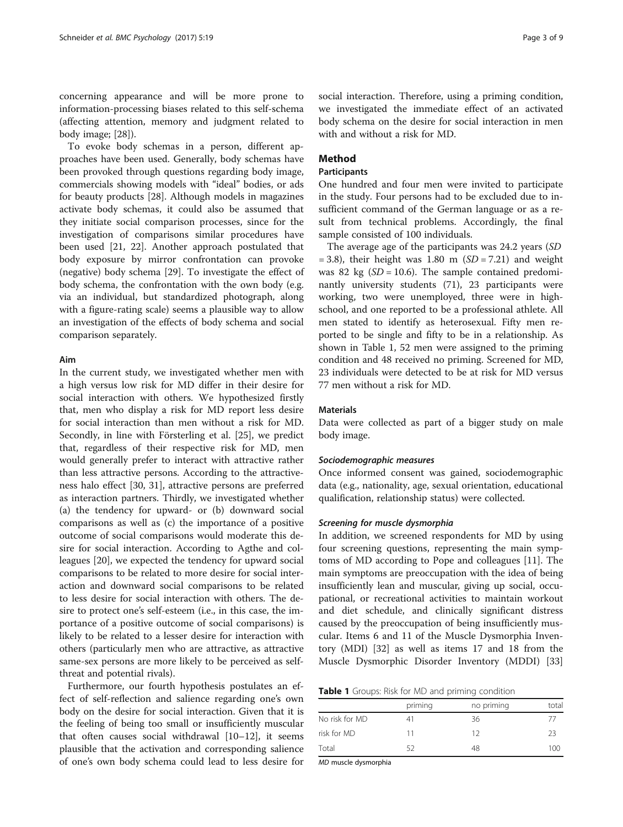concerning appearance and will be more prone to information-processing biases related to this self-schema (affecting attention, memory and judgment related to body image; [[28\]](#page-8-0)).

To evoke body schemas in a person, different approaches have been used. Generally, body schemas have been provoked through questions regarding body image, commercials showing models with "ideal" bodies, or ads for beauty products [\[28](#page-8-0)]. Although models in magazines activate body schemas, it could also be assumed that they initiate social comparison processes, since for the investigation of comparisons similar procedures have been used [[21, 22\]](#page-8-0). Another approach postulated that body exposure by mirror confrontation can provoke (negative) body schema [\[29](#page-8-0)]. To investigate the effect of body schema, the confrontation with the own body (e.g. via an individual, but standardized photograph, along with a figure-rating scale) seems a plausible way to allow an investigation of the effects of body schema and social comparison separately.

## Aim

In the current study, we investigated whether men with a high versus low risk for MD differ in their desire for social interaction with others. We hypothesized firstly that, men who display a risk for MD report less desire for social interaction than men without a risk for MD. Secondly, in line with Försterling et al. [[25](#page-8-0)], we predict that, regardless of their respective risk for MD, men would generally prefer to interact with attractive rather than less attractive persons. According to the attractiveness halo effect [\[30, 31](#page-8-0)], attractive persons are preferred as interaction partners. Thirdly, we investigated whether (a) the tendency for upward- or (b) downward social comparisons as well as (c) the importance of a positive outcome of social comparisons would moderate this desire for social interaction. According to Agthe and colleagues [\[20](#page-8-0)], we expected the tendency for upward social comparisons to be related to more desire for social interaction and downward social comparisons to be related to less desire for social interaction with others. The desire to protect one's self-esteem (i.e., in this case, the importance of a positive outcome of social comparisons) is likely to be related to a lesser desire for interaction with others (particularly men who are attractive, as attractive same-sex persons are more likely to be perceived as selfthreat and potential rivals).

Furthermore, our fourth hypothesis postulates an effect of self-reflection and salience regarding one's own body on the desire for social interaction. Given that it is the feeling of being too small or insufficiently muscular that often causes social withdrawal [\[10](#page-8-0)–[12\]](#page-8-0), it seems plausible that the activation and corresponding salience of one's own body schema could lead to less desire for social interaction. Therefore, using a priming condition, we investigated the immediate effect of an activated body schema on the desire for social interaction in men with and without a risk for MD.

## Method

## **Participants**

One hundred and four men were invited to participate in the study. Four persons had to be excluded due to insufficient command of the German language or as a result from technical problems. Accordingly, the final sample consisted of 100 individuals.

The average age of the participants was 24.2 years (SD  $= 3.8$ ), their height was 1.80 m (SD = 7.21) and weight was 82 kg  $(SD = 10.6)$ . The sample contained predominantly university students (71), 23 participants were working, two were unemployed, three were in highschool, and one reported to be a professional athlete. All men stated to identify as heterosexual. Fifty men reported to be single and fifty to be in a relationship. As shown in Table 1, 52 men were assigned to the priming condition and 48 received no priming. Screened for MD, 23 individuals were detected to be at risk for MD versus 77 men without a risk for MD.

## **Materials**

Data were collected as part of a bigger study on male body image.

## Sociodemographic measures

Once informed consent was gained, sociodemographic data (e.g., nationality, age, sexual orientation, educational qualification, relationship status) were collected.

## Screening for muscle dysmorphia

In addition, we screened respondents for MD by using four screening questions, representing the main symptoms of MD according to Pope and colleagues [[11\]](#page-8-0). The main symptoms are preoccupation with the idea of being insufficiently lean and muscular, giving up social, occupational, or recreational activities to maintain workout and diet schedule, and clinically significant distress caused by the preoccupation of being insufficiently muscular. Items 6 and 11 of the Muscle Dysmorphia Inventory (MDI) [[32\]](#page-8-0) as well as items 17 and 18 from the Muscle Dysmorphic Disorder Inventory (MDDI) [[33](#page-8-0)]

|  |  |  |  |  |  | <b>Table 1</b> Groups: Risk for MD and priming condition |
|--|--|--|--|--|--|----------------------------------------------------------|
|--|--|--|--|--|--|----------------------------------------------------------|

|                | priming | no priming | total |
|----------------|---------|------------|-------|
| No risk for MD | 41      | 36         |       |
| risk for MD    | 11      | 12         | 23    |
| Total          | 52      | 48         | 100   |

MD muscle dysmorphia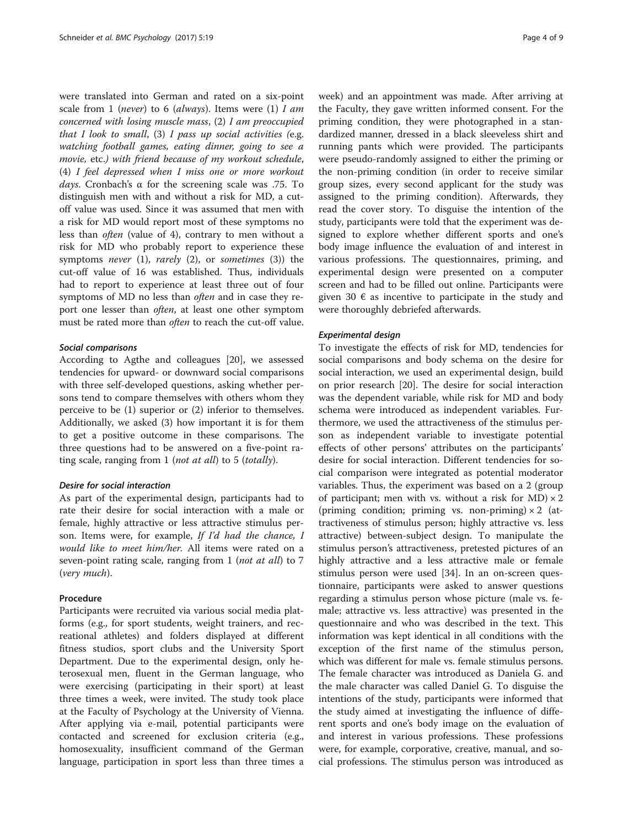were translated into German and rated on a six-point scale from 1 (never) to 6 (always). Items were (1)  $I$  am concerned with losing muscle mass, (2) I am preoccupied that I look to small,  $(3)$  I pass up social activities (e.g. watching football games, eating dinner, going to see a movie, etc.) with friend because of my workout schedule, (4) I feel depressed when I miss one or more workout days. Cronbach's α for the screening scale was .75. To distinguish men with and without a risk for MD, a cutoff value was used. Since it was assumed that men with a risk for MD would report most of these symptoms no less than often (value of 4), contrary to men without a risk for MD who probably report to experience these symptoms *never* (1), *rarely* (2), or *sometimes* (3)) the cut-off value of 16 was established. Thus, individuals had to report to experience at least three out of four symptoms of MD no less than often and in case they report one lesser than *often*, at least one other symptom must be rated more than *often* to reach the cut-off value.

## Social comparisons

According to Agthe and colleagues [\[20](#page-8-0)], we assessed tendencies for upward- or downward social comparisons with three self-developed questions, asking whether persons tend to compare themselves with others whom they perceive to be (1) superior or (2) inferior to themselves. Additionally, we asked (3) how important it is for them to get a positive outcome in these comparisons. The three questions had to be answered on a five-point rating scale, ranging from 1 (*not at all*) to 5 (*totally*).

## Desire for social interaction

As part of the experimental design, participants had to rate their desire for social interaction with a male or female, highly attractive or less attractive stimulus person. Items were, for example, If I'd had the chance, I would like to meet him/her. All items were rated on a seven-point rating scale, ranging from 1 (not at all) to 7 (very much).

## Procedure

Participants were recruited via various social media platforms (e.g., for sport students, weight trainers, and recreational athletes) and folders displayed at different fitness studios, sport clubs and the University Sport Department. Due to the experimental design, only heterosexual men, fluent in the German language, who were exercising (participating in their sport) at least three times a week, were invited. The study took place at the Faculty of Psychology at the University of Vienna. After applying via e-mail, potential participants were contacted and screened for exclusion criteria (e.g., homosexuality, insufficient command of the German language, participation in sport less than three times a week) and an appointment was made. After arriving at the Faculty, they gave written informed consent. For the priming condition, they were photographed in a standardized manner, dressed in a black sleeveless shirt and running pants which were provided. The participants were pseudo-randomly assigned to either the priming or the non-priming condition (in order to receive similar group sizes, every second applicant for the study was assigned to the priming condition). Afterwards, they read the cover story. To disguise the intention of the study, participants were told that the experiment was designed to explore whether different sports and one's body image influence the evaluation of and interest in various professions. The questionnaires, priming, and experimental design were presented on a computer screen and had to be filled out online. Participants were given 30  $\epsilon$  as incentive to participate in the study and were thoroughly debriefed afterwards.

#### Experimental design

To investigate the effects of risk for MD, tendencies for social comparisons and body schema on the desire for social interaction, we used an experimental design, build on prior research [[20](#page-8-0)]. The desire for social interaction was the dependent variable, while risk for MD and body schema were introduced as independent variables. Furthermore, we used the attractiveness of the stimulus person as independent variable to investigate potential effects of other persons' attributes on the participants' desire for social interaction. Different tendencies for social comparison were integrated as potential moderator variables. Thus, the experiment was based on a 2 (group of participant; men with vs. without a risk for  $MD$   $\times$  2 (priming condition; priming vs. non-priming)  $\times 2$  (attractiveness of stimulus person; highly attractive vs. less attractive) between-subject design. To manipulate the stimulus person's attractiveness, pretested pictures of an highly attractive and a less attractive male or female stimulus person were used [\[34](#page-8-0)]. In an on-screen questionnaire, participants were asked to answer questions regarding a stimulus person whose picture (male vs. female; attractive vs. less attractive) was presented in the questionnaire and who was described in the text. This information was kept identical in all conditions with the exception of the first name of the stimulus person, which was different for male vs. female stimulus persons. The female character was introduced as Daniela G. and the male character was called Daniel G. To disguise the intentions of the study, participants were informed that the study aimed at investigating the influence of different sports and one's body image on the evaluation of and interest in various professions. These professions were, for example, corporative, creative, manual, and social professions. The stimulus person was introduced as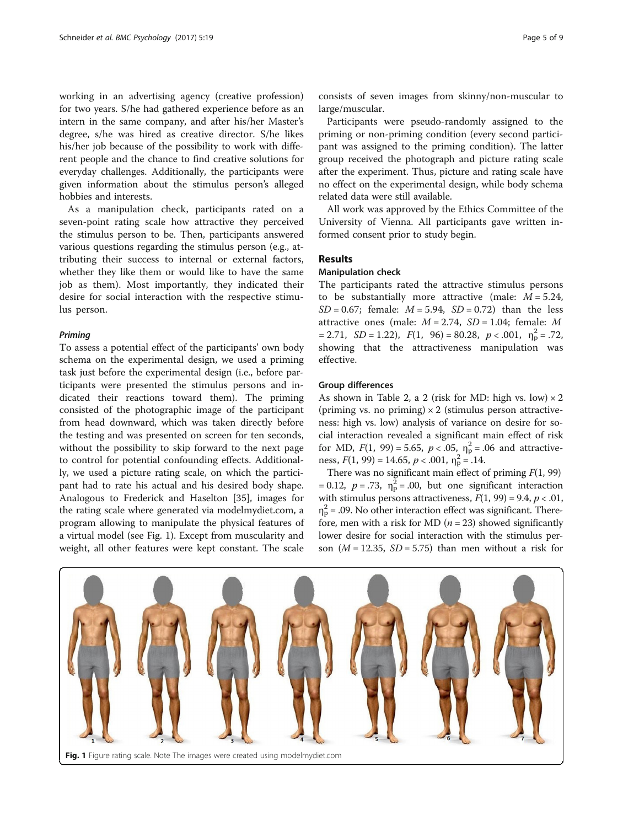working in an advertising agency (creative profession) for two years. S/he had gathered experience before as an intern in the same company, and after his/her Master's degree, s/he was hired as creative director. S/he likes his/her job because of the possibility to work with different people and the chance to find creative solutions for everyday challenges. Additionally, the participants were given information about the stimulus person's alleged hobbies and interests.

As a manipulation check, participants rated on a seven-point rating scale how attractive they perceived the stimulus person to be. Then, participants answered various questions regarding the stimulus person (e.g., attributing their success to internal or external factors, whether they like them or would like to have the same job as them). Most importantly, they indicated their desire for social interaction with the respective stimulus person.

#### Priming

To assess a potential effect of the participants' own body schema on the experimental design, we used a priming task just before the experimental design (i.e., before participants were presented the stimulus persons and indicated their reactions toward them). The priming consisted of the photographic image of the participant from head downward, which was taken directly before the testing and was presented on screen for ten seconds, without the possibility to skip forward to the next page to control for potential confounding effects. Additionally, we used a picture rating scale, on which the participant had to rate his actual and his desired body shape. Analogous to Frederick and Haselton [[35\]](#page-8-0), images for the rating scale where generated via modelmydiet.com, a program allowing to manipulate the physical features of a virtual model (see Fig. 1). Except from muscularity and weight, all other features were kept constant. The scale

consists of seven images from skinny/non-muscular to large/muscular.

Participants were pseudo-randomly assigned to the priming or non-priming condition (every second participant was assigned to the priming condition). The latter group received the photograph and picture rating scale after the experiment. Thus, picture and rating scale have no effect on the experimental design, while body schema related data were still available.

All work was approved by the Ethics Committee of the University of Vienna. All participants gave written informed consent prior to study begin.

## Results

#### Manipulation check

The participants rated the attractive stimulus persons to be substantially more attractive (male:  $M = 5.24$ ,  $SD = 0.67$ ; female:  $M = 5.94$ ,  $SD = 0.72$ ) than the less attractive ones (male:  $M = 2.74$ ,  $SD = 1.04$ ; female: M  $= 2.71, SD = 1.22$ ,  $F(1, 96) = 80.28, p < .001, \eta_{\rm p}^2 = .72$ showing that the attractiveness manipulation was effective.

## Group differences

As shown in Table [2,](#page-5-0) a 2 (risk for MD: high vs. low)  $\times$  2 (priming vs. no priming)  $\times$  2 (stimulus person attractiveness: high vs. low) analysis of variance on desire for social interaction revealed a significant main effect of risk for MD,  $F(1, 99) = 5.65$ ,  $p < .05$ ,  $\eta_p^2 = .06$  and attractiveness,  $F(1, 99) = 14.65$ ,  $p < .001$ ,  $\eta_p^2 = .14$ .

There was no significant main effect of priming  $F(1, 99)$ = 0.12,  $p = .73$ ,  $\eta_{\rm p}^2 = .00$ , but one significant interaction with stimulus persons attractiveness,  $F(1, 99) = 9.4$ ,  $p < .01$ ,  $\eta_{\rm p}^2$  = .09. No other interaction effect was significant. Therefore, men with a risk for MD ( $n = 23$ ) showed significantly lower desire for social interaction with the stimulus person ( $M = 12.35$ ,  $SD = 5.75$ ) than men without a risk for

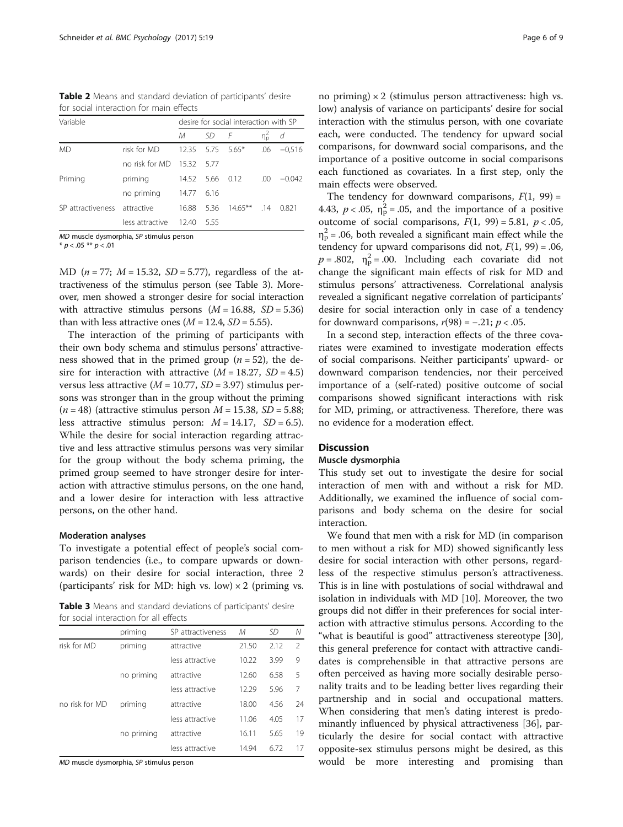<span id="page-5-0"></span>Table 2 Means and standard deviation of participants' desire for social interaction for main effects

| Variable          | desire for social interaction with SP |       |      |            |                  |          |
|-------------------|---------------------------------------|-------|------|------------|------------------|----------|
|                   |                                       | М     | -SD  | $\sqrt{2}$ | $\eta_{\rm p}^2$ | d        |
| <b>MD</b>         | risk for MD                           | 12.35 | 5.75 | 5.65*      | .06              | $-0,516$ |
|                   | no risk for $MD$ 15.32                |       | 577  |            |                  |          |
| Priming           | priming                               | 14.52 | 5.66 | 0.12       | .00              | $-0.042$ |
|                   | no priming                            | 14.77 | 6.16 |            |                  |          |
| SP attractiveness | attractive                            | 16.88 | 5.36 | $14.65***$ | -14              | 0821     |
|                   | less attractive                       | 1240  | 555  |            |                  |          |

MD muscle dysmorphia, SP stimulus person

 $*$  p < .05  $*$  p < .01

MD ( $n = 77$ ;  $M = 15.32$ ,  $SD = 5.77$ ), regardless of the attractiveness of the stimulus person (see Table 3). Moreover, men showed a stronger desire for social interaction with attractive stimulus persons  $(M = 16.88, SD = 5.36)$ than with less attractive ones  $(M = 12.4, SD = 5.55)$ .

The interaction of the priming of participants with their own body schema and stimulus persons' attractiveness showed that in the primed group  $(n = 52)$ , the desire for interaction with attractive  $(M = 18.27, SD = 4.5)$ versus less attractive ( $M = 10.77$ ,  $SD = 3.97$ ) stimulus persons was stronger than in the group without the priming  $(n = 48)$  (attractive stimulus person  $M = 15.38$ ,  $SD = 5.88$ ; less attractive stimulus person:  $M = 14.17$ ,  $SD = 6.5$ ). While the desire for social interaction regarding attractive and less attractive stimulus persons was very similar for the group without the body schema priming, the primed group seemed to have stronger desire for interaction with attractive stimulus persons, on the one hand, and a lower desire for interaction with less attractive persons, on the other hand.

## Moderation analyses

To investigate a potential effect of people's social comparison tendencies (i.e., to compare upwards or downwards) on their desire for social interaction, three 2 (participants' risk for MD: high vs. low)  $\times$  2 (priming vs.

Table 3 Means and standard deviations of participants' desire for social interaction for all effects

|                | priming    | SP attractiveness | М     | -SD  | Ν             |
|----------------|------------|-------------------|-------|------|---------------|
| risk for MD    | priming    | attractive        | 21.50 | 2.12 | $\mathcal{P}$ |
|                |            | less attractive   | 10.22 | 3.99 | 9             |
|                | no priming | attractive        | 12.60 | 6.58 | 5             |
|                |            | less attractive   | 12.29 | 5.96 | 7             |
| no risk for MD | priming    | attractive        | 18.00 | 4.56 | 24            |
|                |            | less attractive   | 11.06 | 4.05 | 17            |
|                | no priming | attractive        | 16.11 | 5.65 | 19            |
|                |            | less attractive   | 14.94 | 6.72 | 17            |

MD muscle dysmorphia, SP stimulus person

no priming)  $\times$  2 (stimulus person attractiveness: high vs. low) analysis of variance on participants' desire for social interaction with the stimulus person, with one covariate each, were conducted. The tendency for upward social comparisons, for downward social comparisons, and the importance of a positive outcome in social comparisons each functioned as covariates. In a first step, only the main effects were observed.

The tendency for downward comparisons,  $F(1, 99) =$ 4.43,  $p < .05$ ,  $\eta_p^2 = .05$ , and the importance of a positive outcome of social comparisons,  $F(1, 99) = 5.81$ ,  $p < .05$ ,  $\eta_{\rm p}^2$  = .06, both revealed a significant main effect while the tendency for upward comparisons did not,  $F(1, 99) = .06$ ,  $p = .802$ ,  $\eta_p^2 = .00$ . Including each covariate did not change the significant main effects of risk for MD and stimulus persons' attractiveness. Correlational analysis revealed a significant negative correlation of participants' desire for social interaction only in case of a tendency for downward comparisons,  $r(98) = -.21$ ;  $p < .05$ .

In a second step, interaction effects of the three covariates were examined to investigate moderation effects of social comparisons. Neither participants' upward- or downward comparison tendencies, nor their perceived importance of a (self-rated) positive outcome of social comparisons showed significant interactions with risk for MD, priming, or attractiveness. Therefore, there was no evidence for a moderation effect.

## **Discussion**

## Muscle dysmorphia

This study set out to investigate the desire for social interaction of men with and without a risk for MD. Additionally, we examined the influence of social comparisons and body schema on the desire for social interaction.

We found that men with a risk for MD (in comparison to men without a risk for MD) showed significantly less desire for social interaction with other persons, regardless of the respective stimulus person's attractiveness. This is in line with postulations of social withdrawal and isolation in individuals with MD [[10](#page-8-0)]. Moreover, the two groups did not differ in their preferences for social interaction with attractive stimulus persons. According to the "what is beautiful is good" attractiveness stereotype [\[30](#page-8-0)], this general preference for contact with attractive candidates is comprehensible in that attractive persons are often perceived as having more socially desirable personality traits and to be leading better lives regarding their partnership and in social and occupational matters. When considering that men's dating interest is predominantly influenced by physical attractiveness [[36\]](#page-8-0), particularly the desire for social contact with attractive opposite-sex stimulus persons might be desired, as this would be more interesting and promising than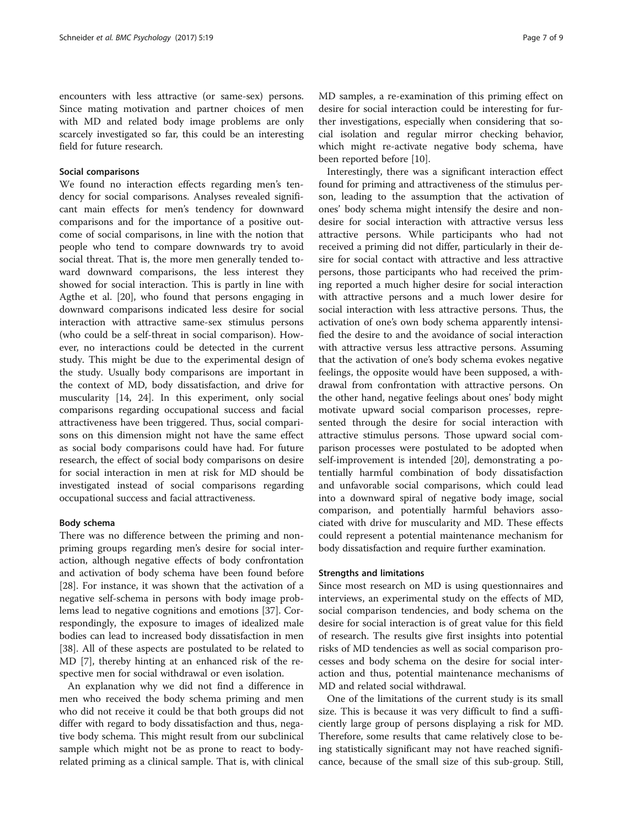encounters with less attractive (or same-sex) persons. Since mating motivation and partner choices of men with MD and related body image problems are only scarcely investigated so far, this could be an interesting field for future research.

## Social comparisons

We found no interaction effects regarding men's tendency for social comparisons. Analyses revealed significant main effects for men's tendency for downward comparisons and for the importance of a positive outcome of social comparisons, in line with the notion that people who tend to compare downwards try to avoid social threat. That is, the more men generally tended toward downward comparisons, the less interest they showed for social interaction. This is partly in line with Agthe et al. [[20\]](#page-8-0), who found that persons engaging in downward comparisons indicated less desire for social interaction with attractive same-sex stimulus persons (who could be a self-threat in social comparison). However, no interactions could be detected in the current study. This might be due to the experimental design of the study. Usually body comparisons are important in the context of MD, body dissatisfaction, and drive for muscularity [[14, 24\]](#page-8-0). In this experiment, only social comparisons regarding occupational success and facial attractiveness have been triggered. Thus, social comparisons on this dimension might not have the same effect as social body comparisons could have had. For future research, the effect of social body comparisons on desire for social interaction in men at risk for MD should be investigated instead of social comparisons regarding occupational success and facial attractiveness.

## Body schema

There was no difference between the priming and nonpriming groups regarding men's desire for social interaction, although negative effects of body confrontation and activation of body schema have been found before [[28\]](#page-8-0). For instance, it was shown that the activation of a negative self-schema in persons with body image problems lead to negative cognitions and emotions [[37](#page-8-0)]. Correspondingly, the exposure to images of idealized male bodies can lead to increased body dissatisfaction in men [[38\]](#page-8-0). All of these aspects are postulated to be related to MD [\[7](#page-8-0)], thereby hinting at an enhanced risk of the respective men for social withdrawal or even isolation.

An explanation why we did not find a difference in men who received the body schema priming and men who did not receive it could be that both groups did not differ with regard to body dissatisfaction and thus, negative body schema. This might result from our subclinical sample which might not be as prone to react to bodyrelated priming as a clinical sample. That is, with clinical MD samples, a re-examination of this priming effect on desire for social interaction could be interesting for further investigations, especially when considering that social isolation and regular mirror checking behavior, which might re-activate negative body schema, have been reported before [\[10](#page-8-0)].

Interestingly, there was a significant interaction effect found for priming and attractiveness of the stimulus person, leading to the assumption that the activation of ones' body schema might intensify the desire and nondesire for social interaction with attractive versus less attractive persons. While participants who had not received a priming did not differ, particularly in their desire for social contact with attractive and less attractive persons, those participants who had received the priming reported a much higher desire for social interaction with attractive persons and a much lower desire for social interaction with less attractive persons. Thus, the activation of one's own body schema apparently intensified the desire to and the avoidance of social interaction with attractive versus less attractive persons. Assuming that the activation of one's body schema evokes negative feelings, the opposite would have been supposed, a withdrawal from confrontation with attractive persons. On the other hand, negative feelings about ones' body might motivate upward social comparison processes, represented through the desire for social interaction with attractive stimulus persons. Those upward social comparison processes were postulated to be adopted when self-improvement is intended [[20\]](#page-8-0), demonstrating a potentially harmful combination of body dissatisfaction and unfavorable social comparisons, which could lead into a downward spiral of negative body image, social comparison, and potentially harmful behaviors associated with drive for muscularity and MD. These effects could represent a potential maintenance mechanism for body dissatisfaction and require further examination.

#### Strengths and limitations

Since most research on MD is using questionnaires and interviews, an experimental study on the effects of MD, social comparison tendencies, and body schema on the desire for social interaction is of great value for this field of research. The results give first insights into potential risks of MD tendencies as well as social comparison processes and body schema on the desire for social interaction and thus, potential maintenance mechanisms of MD and related social withdrawal.

One of the limitations of the current study is its small size. This is because it was very difficult to find a sufficiently large group of persons displaying a risk for MD. Therefore, some results that came relatively close to being statistically significant may not have reached significance, because of the small size of this sub-group. Still,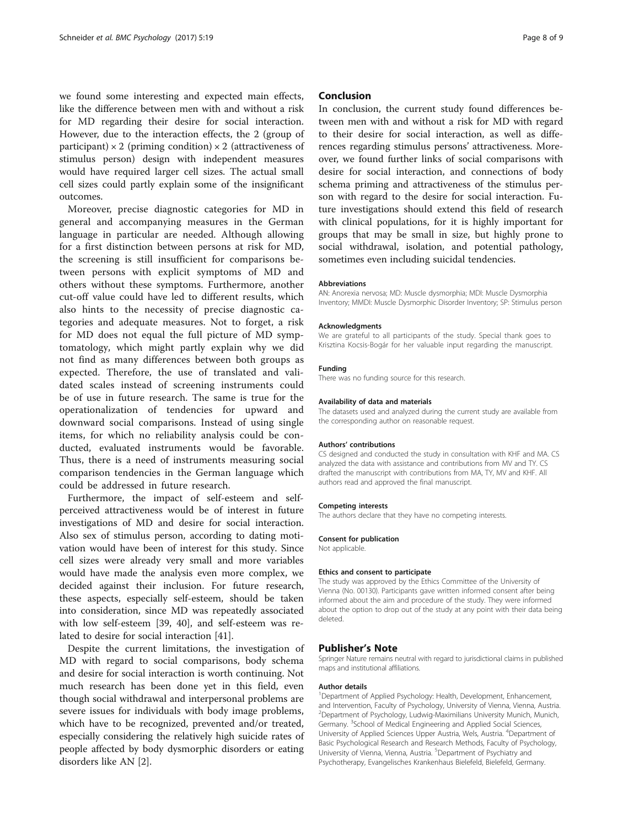we found some interesting and expected main effects, like the difference between men with and without a risk for MD regarding their desire for social interaction. However, due to the interaction effects, the 2 (group of participant)  $\times$  2 (priming condition)  $\times$  2 (attractiveness of stimulus person) design with independent measures would have required larger cell sizes. The actual small cell sizes could partly explain some of the insignificant outcomes.

Moreover, precise diagnostic categories for MD in general and accompanying measures in the German language in particular are needed. Although allowing for a first distinction between persons at risk for MD, the screening is still insufficient for comparisons between persons with explicit symptoms of MD and others without these symptoms. Furthermore, another cut-off value could have led to different results, which also hints to the necessity of precise diagnostic categories and adequate measures. Not to forget, a risk for MD does not equal the full picture of MD symptomatology, which might partly explain why we did not find as many differences between both groups as expected. Therefore, the use of translated and validated scales instead of screening instruments could be of use in future research. The same is true for the operationalization of tendencies for upward and downward social comparisons. Instead of using single items, for which no reliability analysis could be conducted, evaluated instruments would be favorable. Thus, there is a need of instruments measuring social comparison tendencies in the German language which could be addressed in future research.

Furthermore, the impact of self-esteem and selfperceived attractiveness would be of interest in future investigations of MD and desire for social interaction. Also sex of stimulus person, according to dating motivation would have been of interest for this study. Since cell sizes were already very small and more variables would have made the analysis even more complex, we decided against their inclusion. For future research, these aspects, especially self-esteem, should be taken into consideration, since MD was repeatedly associated with low self-esteem [\[39, 40\]](#page-8-0), and self-esteem was related to desire for social interaction [\[41](#page-8-0)].

Despite the current limitations, the investigation of MD with regard to social comparisons, body schema and desire for social interaction is worth continuing. Not much research has been done yet in this field, even though social withdrawal and interpersonal problems are severe issues for individuals with body image problems, which have to be recognized, prevented and/or treated, especially considering the relatively high suicide rates of people affected by body dysmorphic disorders or eating disorders like AN [[2\]](#page-8-0).

## Conclusion

In conclusion, the current study found differences between men with and without a risk for MD with regard to their desire for social interaction, as well as differences regarding stimulus persons' attractiveness. Moreover, we found further links of social comparisons with desire for social interaction, and connections of body schema priming and attractiveness of the stimulus person with regard to the desire for social interaction. Future investigations should extend this field of research with clinical populations, for it is highly important for groups that may be small in size, but highly prone to social withdrawal, isolation, and potential pathology, sometimes even including suicidal tendencies.

#### Abbreviations

AN: Anorexia nervosa; MD: Muscle dysmorphia; MDI: Muscle Dysmorphia Inventory; MMDI: Muscle Dysmorphic Disorder Inventory; SP: Stimulus person

#### Acknowledgments

We are grateful to all participants of the study. Special thank goes to Krisztina Kocsis-Bogár for her valuable input regarding the manuscript.

#### Funding

There was no funding source for this research.

#### Availability of data and materials

The datasets used and analyzed during the current study are available from the corresponding author on reasonable request.

#### Authors' contributions

CS designed and conducted the study in consultation with KHF and MA. CS analyzed the data with assistance and contributions from MV and TY. CS drafted the manuscript with contributions from MA, TY, MV and KHF. All authors read and approved the final manuscript.

#### Competing interests

The authors declare that they have no competing interests.

#### Consent for publication

Not applicable.

#### Ethics and consent to participate

The study was approved by the Ethics Committee of the University of Vienna (No. 00130). Participants gave written informed consent after being informed about the aim and procedure of the study. They were informed about the option to drop out of the study at any point with their data being deleted.

## Publisher's Note

Springer Nature remains neutral with regard to jurisdictional claims in published maps and institutional affiliations.

#### Author details

<sup>1</sup>Department of Applied Psychology: Health, Development, Enhancement, and Intervention, Faculty of Psychology, University of Vienna, Vienna, Austria. 2 Department of Psychology, Ludwig-Maximilians University Munich, Munich, Germany. <sup>3</sup>School of Medical Engineering and Applied Social Sciences University of Applied Sciences Upper Austria, Wels, Austria. <sup>4</sup>Department of Basic Psychological Research and Research Methods, Faculty of Psychology, University of Vienna, Vienna, Austria. <sup>5</sup>Department of Psychiatry and Psychotherapy, Evangelisches Krankenhaus Bielefeld, Bielefeld, Germany.